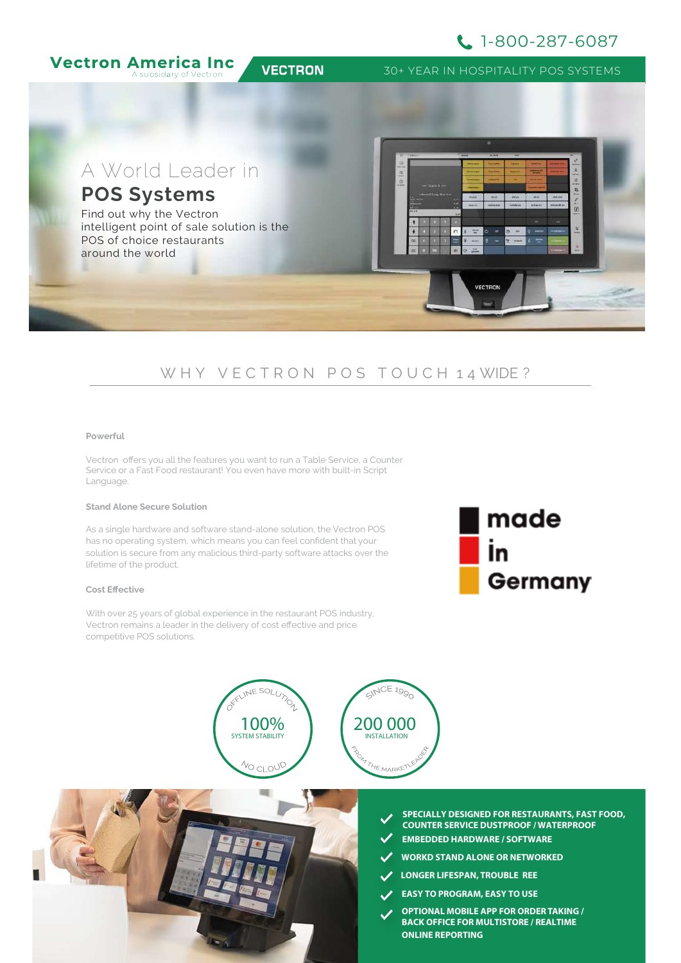# 1-800-287-6087



# W H Y V E C T R O N P O S T O U C H 1 4 WIDE ?

#### **Powerful**

Vectron offers you all the features you want to run a Table Service, a Counter vection offers you at the reattics you want to fain a raste Service, a Sounter<br>Service or a Fast Food restaurant! You even have more with built-in Script Language.

### **Stand Alone Secure Solution**

As a single hardware and software stand-alone solution, the Vectron POS has no operating system, which means you can feel confident that your solution is secure from any malicious third-party software attacks over the **Customer Durate Durate Durate Durate** lifetime of the product.

### **Cost Effective**

With over 25 years of global experience in the restaurant POS industry, Vectron remains a leader in the delivery of cost effective and price competitive POS solutions.







- **SPECIALLY DESIGNED FOR RESTAURANTS, FAST FOOD, COUNTER SERVICE DUSTPROOF / WATERPROOF**
- **EMBEDDED HARDWARE / SOFTWARE**
- **WORKD STAND ALONE OR NETWORKED**
- **LONGER LIFESPAN, TROUBLE REE**
- **EASY TO PROGRAM, EASY TO USE**
- **OPTIONAL MOBILE APP FOR ORDER TAKING / BACK OFFICE FOR MULTISTORE / REALTIME ONLINE REPORTING**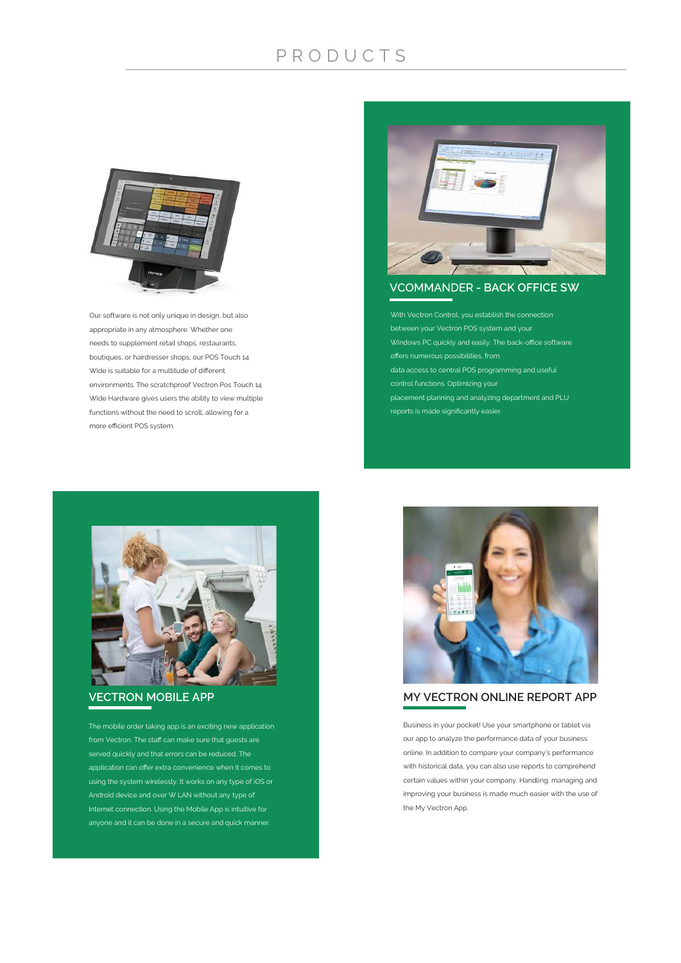# P R O D U C T S



Our software is not only unique in design, but also appropriate in any atmosphere. Whether one needs to supplement retail shops, restaurants, boutiques, or hairdresser shops, our POS Touch 14 Wide is suitable for a multitude of different environments. The scratchproof Vectron Pos Touch 14 Wide Hardware gives users the ability to view multiple functions without the need to scroll, allowing for a more efficient POS system.



**VCOMMANDER - BACK OFFICE SW** 

With Vectron Control, you establish the connection between your Vectron POS system and your Windows PC quickly and easily. The back-office software offers numerous possibilities, from data access to central POS programming and useful control functions. Optimizing your placement planning and analyzing department and PLU reports is made significantly easier.



### **VECTRON MOBILE APP**

The mobile order taking app is an exciting new application from Vectron. The staff can make sure that guests are application can offer extra convenience when it comes to using the system wirelessly. It works on any type of iOS or Android device and over W LAN without any type of Internet connection. Using the Mobile App is intuitive for anyone and it can be done in a secure and quick manner.



**MY VECTRON ONLINE REPORT APP**

Business in your pocket! Use your smartphone or tablet via our app to analyze the performance data of your business online. In addition to compare your company's performance with historical data, you can also use reports to comprehend certain values within your company. Handling, managing and improving your business is made much easier with the use of the My Vectron App.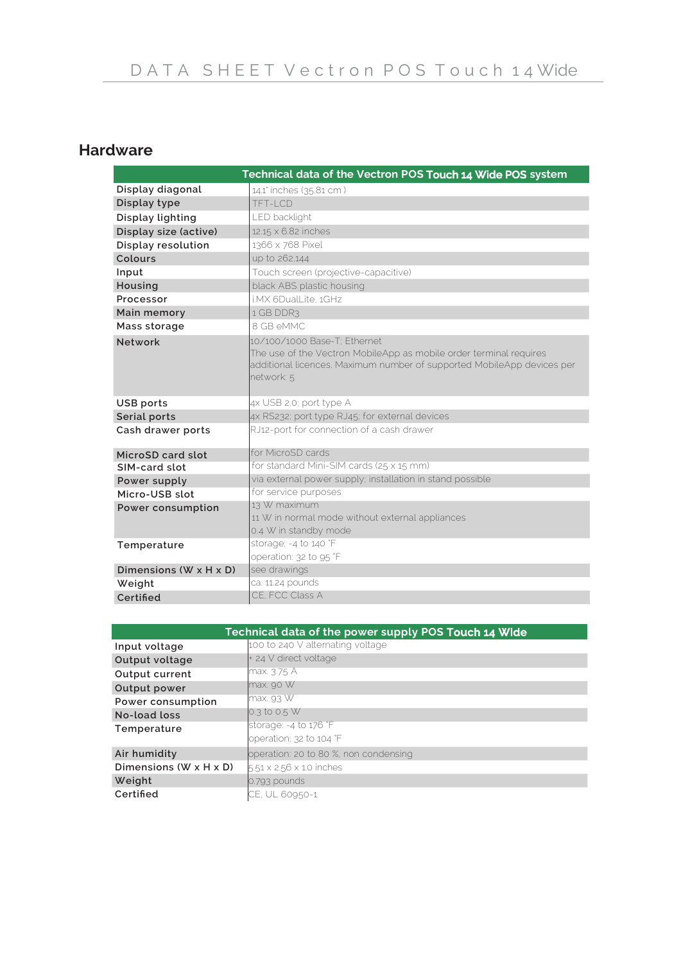# **Hardware**

|                                    | Technical data of the Vectron POS Touch 14 Wide POS system                                                                                                                                 |
|------------------------------------|--------------------------------------------------------------------------------------------------------------------------------------------------------------------------------------------|
| Display diagonal                   | 14.1' inches (35.81 cm)                                                                                                                                                                    |
| Display type                       | TFT-LCD                                                                                                                                                                                    |
| Display lighting                   | LED backlight                                                                                                                                                                              |
| Display size (active)              | 12.15 x 6.82 inches                                                                                                                                                                        |
| Display resolution                 | 1366 x 768 Pixel                                                                                                                                                                           |
| Colours                            | up to 262,144                                                                                                                                                                              |
| Input                              | Touch screen (projective-capacitive)                                                                                                                                                       |
| Housing                            | black ABS plastic housing                                                                                                                                                                  |
| Processor                          | i.MX 6DualLite. 1GHz                                                                                                                                                                       |
| Main memory                        | 1 GB DDR3                                                                                                                                                                                  |
| Mass storage                       | 8 GB eMMC                                                                                                                                                                                  |
| Network                            | 10/100/1000 Base-T: Fthernet<br>The use of the Vectron MobileApp as mobile order terminal requires<br>additional licences. Maximum number of supported MobileApp devices per<br>network: 5 |
| USB ports                          | 4x USB 2.0; port type A                                                                                                                                                                    |
| Serial ports                       | 4x RS232; port type RJ45; for external devices                                                                                                                                             |
| Cash drawer ports                  | RJ12-port for connection of a cash drawer                                                                                                                                                  |
| MicroSD card slot                  | for MicroSD cards                                                                                                                                                                          |
| SIM-card slot                      | for standard Mini-SIM cards (25 x 15 mm)                                                                                                                                                   |
| Power supply                       | via external power supply; installation in stand possible                                                                                                                                  |
| Micro-USB slot                     | for service purposes                                                                                                                                                                       |
| Power consumption                  | 13 W maximum<br>11 W in normal mode without external appliances<br>0.4 W in standby mode                                                                                                   |
| Temperature                        | storage: -4 to 140 °F<br>operation: 32 to 95 °F                                                                                                                                            |
| Dimensions $(W \times H \times D)$ | see drawings                                                                                                                                                                               |
| Weight                             | ca. 11.24 pounds                                                                                                                                                                           |
| Certified                          | CE, FCC Class A                                                                                                                                                                            |

| Technical data of the power supply POS Touch 14 Wide |                                       |  |
|------------------------------------------------------|---------------------------------------|--|
| Input voltage                                        | 100 to 240 V alternating voltage      |  |
| Output voltage                                       | + 24 V direct voltage                 |  |
| Output current                                       | lmax. 3.75 A                          |  |
| Output power                                         | max.90 W                              |  |
| Power consumption                                    | $\text{Imax}$ 93 W                    |  |
| No-load loss                                         | 0.3 to 0.5 W                          |  |
| Temperature                                          | storage: -4 to 176 °F                 |  |
|                                                      | loperation: 32 to 104 °F              |  |
| Air humidity                                         | operation: 20 to 80 %, non condensing |  |
| Dimensions $(W \times H \times D)$                   | $5.51 \times 2.56 \times 1.0$ inches  |  |
| Weight                                               | $0.793$ pounds                        |  |
| Certified                                            | <b>ICE. UL 60950-1</b>                |  |